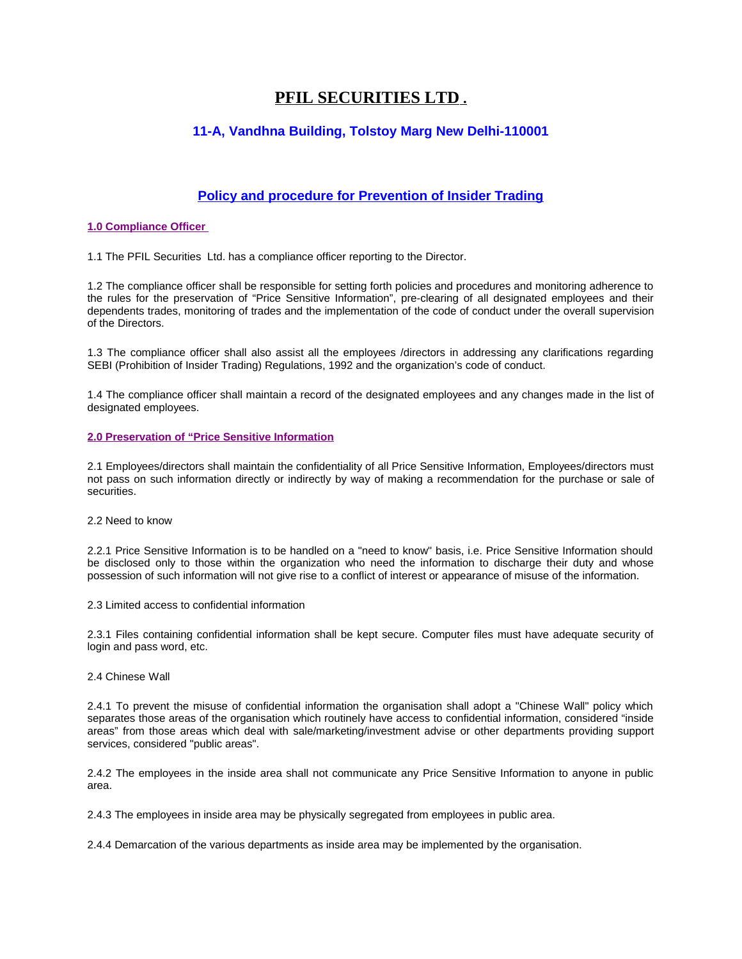# **PFIL SECURITIES LTD .**

# **11-A, Vandhna Building, Tolstoy Marg New Delhi-110001**

# **Policy and procedure for Prevention of Insider Trading**

## **1.0 Compliance Officer**

1.1 The PFIL Securities Ltd. has a compliance officer reporting to the Director.

1.2 The compliance officer shall be responsible for setting forth policies and procedures and monitoring adherence to the rules for the preservation of "Price Sensitive Information", pre-clearing of all designated employees and their dependents trades, monitoring of trades and the implementation of the code of conduct under the overall supervision of the Directors.

1.3 The compliance officer shall also assist all the employees /directors in addressing any clarifications regarding SEBI (Prohibition of Insider Trading) Regulations, 1992 and the organization's code of conduct.

1.4 The compliance officer shall maintain a record of the designated employees and any changes made in the list of designated employees.

## **2.0 Preservation of "Price Sensitive Information**

2.1 Employees/directors shall maintain the confidentiality of all Price Sensitive Information, Employees/directors must not pass on such information directly or indirectly by way of making a recommendation for the purchase or sale of securities.

2.2 Need to know

2.2.1 Price Sensitive Information is to be handled on a "need to know" basis, i.e. Price Sensitive Information should be disclosed only to those within the organization who need the information to discharge their duty and whose possession of such information will not give rise to a conflict of interest or appearance of misuse of the information.

2.3 Limited access to confidential information

2.3.1 Files containing confidential information shall be kept secure. Computer files must have adequate security of login and pass word, etc.

#### 2.4 Chinese Wall

2.4.1 To prevent the misuse of confidential information the organisation shall adopt a "Chinese Wall" policy which separates those areas of the organisation which routinely have access to confidential information, considered "inside areas" from those areas which deal with sale/marketing/investment advise or other departments providing support services, considered "public areas".

2.4.2 The employees in the inside area shall not communicate any Price Sensitive Information to anyone in public area.

2.4.3 The employees in inside area may be physically segregated from employees in public area.

2.4.4 Demarcation of the various departments as inside area may be implemented by the organisation.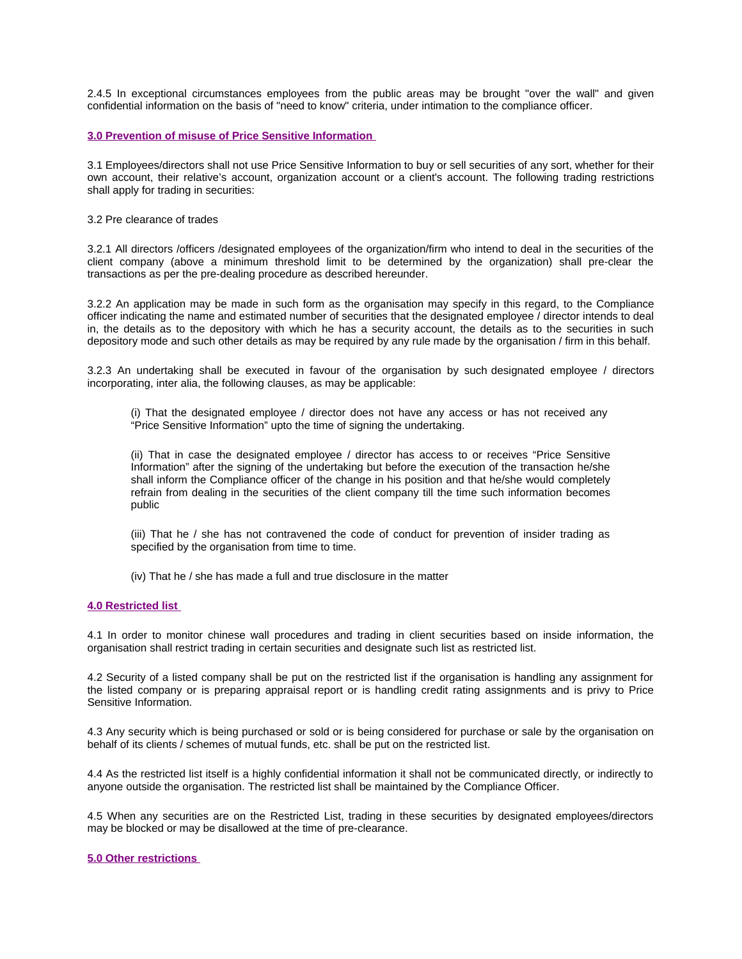2.4.5 In exceptional circumstances employees from the public areas may be brought "over the wall" and given confidential information on the basis of "need to know" criteria, under intimation to the compliance officer.

#### **3.0 Prevention of misuse of Price Sensitive Information**

3.1 Employees/directors shall not use Price Sensitive Information to buy or sell securities of any sort, whether for their own account, their relative's account, organization account or a client's account. The following trading restrictions shall apply for trading in securities:

3.2 Pre clearance of trades

3.2.1 All directors /officers /designated employees of the organization/firm who intend to deal in the securities of the client company (above a minimum threshold limit to be determined by the organization) shall pre-clear the transactions as per the pre-dealing procedure as described hereunder.

3.2.2 An application may be made in such form as the organisation may specify in this regard, to the Compliance officer indicating the name and estimated number of securities that the designated employee / director intends to deal in, the details as to the depository with which he has a security account, the details as to the securities in such depository mode and such other details as may be required by any rule made by the organisation / firm in this behalf.

3.2.3 An undertaking shall be executed in favour of the organisation by such designated employee / directors incorporating, inter alia, the following clauses, as may be applicable:

(i) That the designated employee / director does not have any access or has not received any "Price Sensitive Information" upto the time of signing the undertaking.

(ii) That in case the designated employee / director has access to or receives "Price Sensitive Information" after the signing of the undertaking but before the execution of the transaction he/she shall inform the Compliance officer of the change in his position and that he/she would completely refrain from dealing in the securities of the client company till the time such information becomes public

(iii) That he / she has not contravened the code of conduct for prevention of insider trading as specified by the organisation from time to time.

(iv) That he / she has made a full and true disclosure in the matter

#### **4.0 Restricted list**

4.1 In order to monitor chinese wall procedures and trading in client securities based on inside information, the organisation shall restrict trading in certain securities and designate such list as restricted list.

4.2 Security of a listed company shall be put on the restricted list if the organisation is handling any assignment for the listed company or is preparing appraisal report or is handling credit rating assignments and is privy to Price Sensitive Information.

4.3 Any security which is being purchased or sold or is being considered for purchase or sale by the organisation on behalf of its clients / schemes of mutual funds, etc. shall be put on the restricted list.

4.4 As the restricted list itself is a highly confidential information it shall not be communicated directly, or indirectly to anyone outside the organisation. The restricted list shall be maintained by the Compliance Officer.

4.5 When any securities are on the Restricted List, trading in these securities by designated employees/directors may be blocked or may be disallowed at the time of pre-clearance.

#### **5.0 Other restrictions**